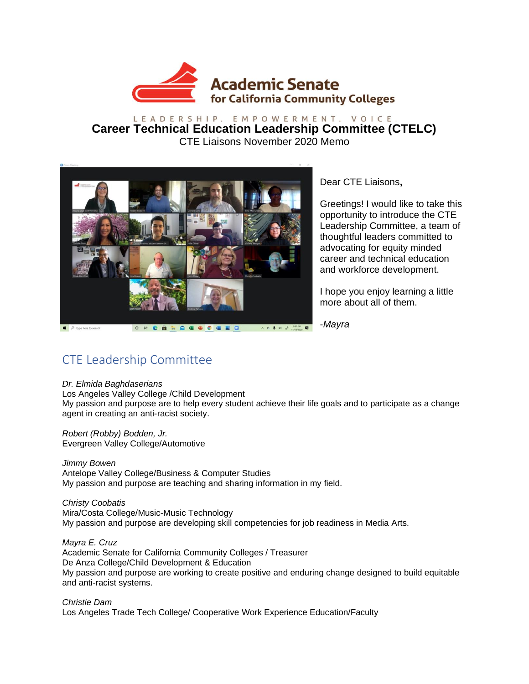

### LEADERSHIP. EMPOWERMENT. VOICE. **Career Technical Education Leadership Committee (CTELC)** CTE Liaisons November 2020 Memo



Dear CTE Liaisons**,** 

Greetings! I would like to take this opportunity to introduce the CTE Leadership Committee, a team of thoughtful leaders committed to advocating for equity minded career and technical education and workforce development.

I hope you enjoy learning a little more about all of them.

-*Mayra*

# CTE Leadership Committee

#### *Dr. Elmida Baghdaserians*

Los Angeles Valley College /Child Development My passion and purpose are to help every student achieve their life goals and to participate as a change agent in creating an anti-racist society.

*Robert (Robby) Bodden, Jr.* Evergreen Valley College/Automotive

*Jimmy Bowen* Antelope Valley College/Business & Computer Studies My passion and purpose are teaching and sharing information in my field.

*Christy Coobatis* Mira/Costa College/Music-Music Technology My passion and purpose are developing skill competencies for job readiness in Media Arts.

*Mayra E. Cruz* Academic Senate for California Community Colleges / Treasurer De Anza College/Child Development & Education My passion and purpose are working to create positive and enduring change designed to build equitable and anti-racist systems.

*Christie Dam* Los Angeles Trade Tech College/ Cooperative Work Experience Education/Faculty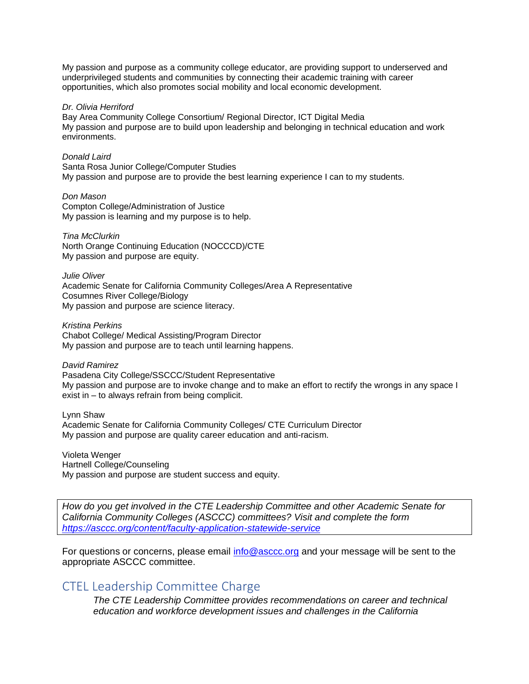My passion and purpose as a community college educator, are providing support to underserved and underprivileged students and communities by connecting their academic training with career opportunities, which also promotes social mobility and local economic development.

#### *Dr. Olivia Herriford*

Bay Area Community College Consortium/ Regional Director, ICT Digital Media My passion and purpose are to build upon leadership and belonging in technical education and work environments.

#### *Donald Laird*

Santa Rosa Junior College/Computer Studies My passion and purpose are to provide the best learning experience I can to my students.

*Don Mason* Compton College/Administration of Justice My passion is learning and my purpose is to help.

#### *Tina McClurkin*

North Orange Continuing Education (NOCCCD)/CTE My passion and purpose are equity.

*Julie Oliver* Academic Senate for California Community Colleges/Area A Representative Cosumnes River College/Biology My passion and purpose are science literacy.

*Kristina Perkins* Chabot College/ Medical Assisting/Program Director My passion and purpose are to teach until learning happens.

#### *David Ramirez*

Pasadena City College/SSCCC/Student Representative My passion and purpose are to invoke change and to make an effort to rectify the wrongs in any space I exist in – to always refrain from being complicit.

Lynn Shaw

Academic Senate for California Community Colleges/ CTE Curriculum Director My passion and purpose are quality career education and anti-racism.

Violeta Wenger Hartnell College/Counseling My passion and purpose are student success and equity.

*How do you get involved in the CTE Leadership Committee and other Academic Senate for California Community Colleges (ASCCC) committees? Visit and complete the form [https://asccc.org/content/faculty-application-statewide-service](about:blank)*

For questions or concerns, please email [info@asccc.org](about:blank) and your message will be sent to the appropriate ASCCC committee.

### CTEL Leadership Committee Charge

*The CTE Leadership Committee provides recommendations on career and technical education and workforce development issues and challenges in the California*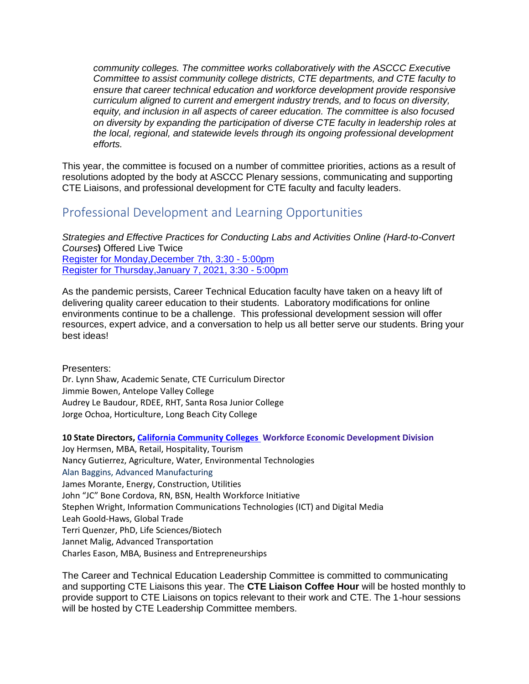*community colleges. The committee works collaboratively with the ASCCC Executive Committee to assist community college districts, CTE departments, and CTE faculty to ensure that career technical education and workforce development provide responsive curriculum aligned to current and emergent industry trends, and to focus on diversity, equity, and inclusion in all aspects of career education. The committee is also focused on diversity by expanding the participation of diverse CTE faculty in leadership roles at the local, regional, and statewide levels through its ongoing professional development efforts.*

This year, the committee is focused on a number of committee priorities, actions as a result of resolutions adopted by the body at ASCCC Plenary sessions, communicating and supporting CTE Liaisons, and professional development for CTE faculty and faculty leaders.

## Professional Development and Learning Opportunities

*Strategies and Effective Practices for Conducting Labs and Activities Online (Hard-to-Convert Courses***)** Offered Live Twice Register for [Monday,December](https://asccc.org/events/2020-12-07-233000-2020-12-08-010000/webinar-strategies-and-effective-practices-conducting) 7th, 3:30 - 5:00pm Register for [Thursday,January](https://asccc.org/events/2021-01-07-233000-2021-01-08-010000/webinar-strategies-and-effective-practices-conducting) 7, 2021, 3:30 - 5:00pm

As the pandemic persists, Career Technical Education faculty have taken on a heavy lift of delivering quality career education to their students. Laboratory modifications for online environments continue to be a challenge. This professional development session will offer resources, expert advice, and a conversation to help us all better serve our students. Bring your best ideas!

Presenters:

Dr. Lynn Shaw, Academic Senate, CTE Curriculum Director Jimmie Bowen, Antelope Valley College Audrey Le Baudour, RDEE, RHT, Santa Rosa Junior College Jorge Ochoa, Horticulture, Long Beach City College

**10 State Directors, [California Community](about:blank) Colleges Workforce Economic Development Division**

Joy Hermsen, MBA, Retail, Hospitality, Tourism Nancy Gutierrez, Agriculture, Water, Environmental Technologies Alan Baggins, Advanced Manufacturing James Morante, Energy, Construction, Utilities John "JC" Bone Cordova, RN, BSN, Health Workforce Initiative Stephen Wright, Information Communications Technologies (ICT) and Digital Media Leah Goold-Haws, Global Trade Terri Quenzer, PhD, Life Sciences/Biotech Jannet Malig, Advanced Transportation Charles Eason, MBA, Business and Entrepreneurships

The Career and Technical Education Leadership Committee is committed to communicating and supporting CTE Liaisons this year. The **CTE Liaison Coffee Hour** will be hosted monthly to provide support to CTE Liaisons on topics relevant to their work and CTE. The 1-hour sessions will be hosted by CTE Leadership Committee members.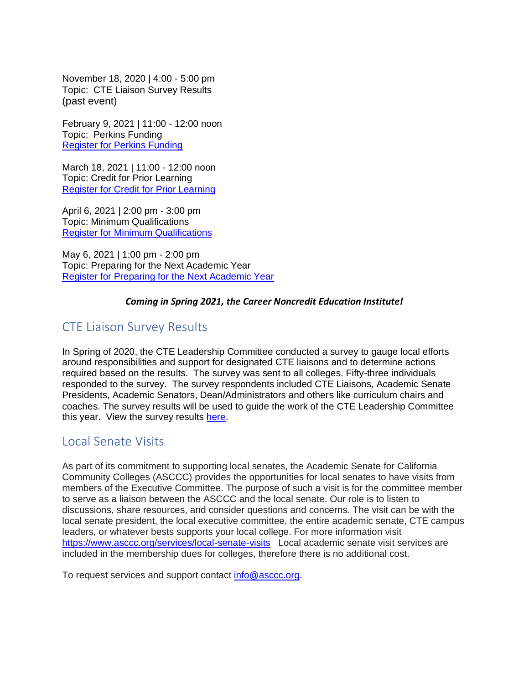November 18, 2020 | 4:00 - 5:00 pm Topic: CTE Liaison Survey Results (past event)

February 9, 2021 | 11:00 - 12:00 noon Topic: Perkins Funding [Register for Perkins Funding](https://asccc.org/events/2021-02-09-190000-2021-02-09-200000/cte-liaison-coffee-hour-perkins-funding)

March 18, 2021 | 11:00 - 12:00 noon Topic: Credit for Prior Learning [Register for Credit for Prior Learning](https://asccc.org/events/2021-03-18-180000-2021-03-18-190000/cte-liaison-coffee-hour-credit-prior-learning)

April 6, 2021 | 2:00 pm - 3:00 pm Topic: Minimum Qualifications [Register for Minimum Qualifications](https://asccc.org/events/2021-04-06-210000-2021-04-06-220000/cte-liaison-coffee-hour-minimum-qualifications)

May 6, 2021 | 1:00 pm - 2:00 pm Topic: Preparing for the Next Academic Year [Register for Preparing for the Next Academic Year](https://asccc.org/events/2021-05-06-200000-2021-05-06-210000/cte-liaison-coffee-hour-preparing-next-academic-year)

### *Coming in Spring 2021, the Career Noncredit Education Institute!*

## CTE Liaison Survey Results

In Spring of 2020, the CTE Leadership Committee conducted a survey to gauge local efforts around responsibilities and support for designated CTE liaisons and to determine actions required based on the results. The survey was sent to all colleges. Fifty-three individuals responded to the survey. The survey respondents included CTE Liaisons, Academic Senate Presidents, Academic Senators, Dean/Administrators and others like curriculum chairs and coaches. The survey results will be used to guide the work of the CTE Leadership Committee this year. View the survey results [here.](https://www.surveymonkey.com/results/SM-ZQ2LQ72P7/)

## Local Senate Visits

As part of its commitment to supporting local senates, the Academic Senate for California Community Colleges (ASCCC) provides the opportunities for local senates to have visits from members of the Executive Committee. The purpose of such a visit is for the committee member to serve as a liaison between the ASCCC and the local senate. Our role is to listen to discussions, share resources, and consider questions and concerns. The visit can be with the local senate president, the local executive committee, the entire academic senate, CTE campus leaders, or whatever bests supports your local college. For more information visit <https://www.asccc.org/services/local-senate-visits> Local academic senate visit services are included in the membership dues for colleges, therefore there is no additional cost.

To request services and support contact [info@asccc.org.](about:blank)